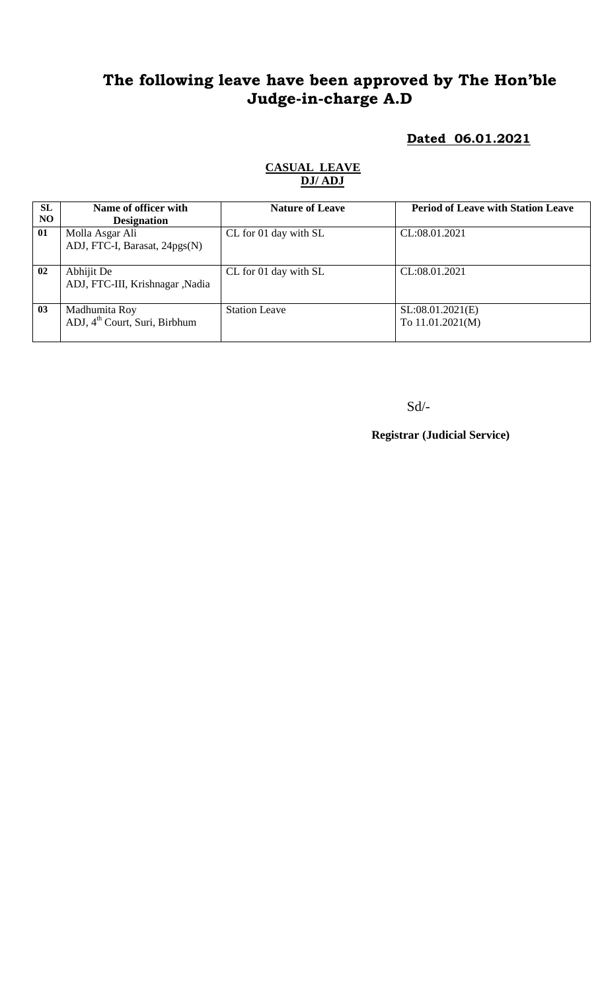# **The following leave have been approved by The Hon'ble Judge-in-charge A.D**

### **Dated 06.01.2021**

| <b>SL</b> | Name of officer with                      | <b>Nature of Leave</b> | <b>Period of Leave with Station Leave</b> |
|-----------|-------------------------------------------|------------------------|-------------------------------------------|
| NO.       | <b>Designation</b>                        |                        |                                           |
| 01        | Molla Asgar Ali                           | CL for 01 day with SL  | CL:08.01.2021                             |
|           | ADJ, FTC-I, Barasat, 24pgs(N)             |                        |                                           |
|           |                                           |                        |                                           |
| 02        | Abhijit De                                | CL for 01 day with SL  | CL:08.01.2021                             |
|           | ADJ, FTC-III, Krishnagar ,Nadia           |                        |                                           |
|           |                                           |                        |                                           |
| 03        | Madhumita Roy                             | <b>Station Leave</b>   | SL:08.01.2021(E)                          |
|           | ADJ, 4 <sup>th</sup> Court, Suri, Birbhum |                        | To 11.01.2021(M)                          |
|           |                                           |                        |                                           |

#### **CASUAL LEAVE DJ/ ADJ**

Sd/-

**Registrar (Judicial Service)**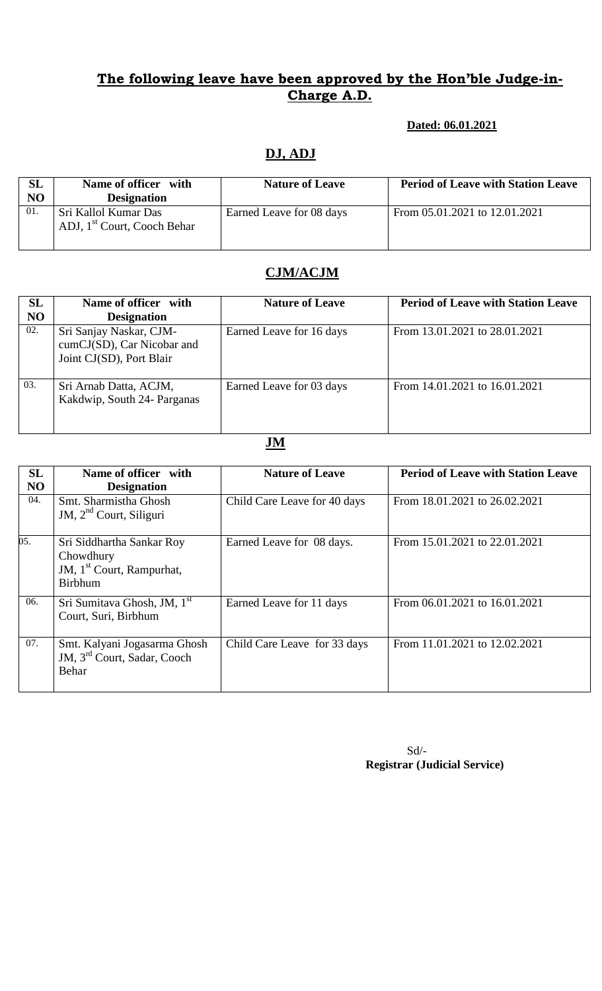#### **The following leave have been approved by the Hon'ble Judge-in-Charge A.D.**

#### **Dated: 06.01.2021**

## **DJ, ADJ**

| SL<br>NO | Name of officer with<br><b>Designation</b>                      | <b>Nature of Leave</b>   | <b>Period of Leave with Station Leave</b> |
|----------|-----------------------------------------------------------------|--------------------------|-------------------------------------------|
| -01.     | Sri Kallol Kumar Das<br>ADJ, 1 <sup>st</sup> Court, Cooch Behar | Earned Leave for 08 days | From 05.01.2021 to 12.01.2021             |

### **CJM/ACJM**

| <b>SL</b> | Name of officer with                                                              | <b>Nature of Leave</b>   | <b>Period of Leave with Station Leave</b> |
|-----------|-----------------------------------------------------------------------------------|--------------------------|-------------------------------------------|
| NO        | <b>Designation</b>                                                                |                          |                                           |
| 02.       | Sri Sanjay Naskar, CJM-<br>cumCJ(SD), Car Nicobar and<br>Joint CJ(SD), Port Blair | Earned Leave for 16 days | From 13.01.2021 to 28.01.2021             |
| 03.       | Sri Arnab Datta, ACJM,<br>Kakdwip, South 24- Parganas                             | Earned Leave for 03 days | From 14.01.2021 to 16.01.2021             |

## **JM**

| SL             | Name of officer with                                                                              | <b>Nature of Leave</b>       | <b>Period of Leave with Station Leave</b> |
|----------------|---------------------------------------------------------------------------------------------------|------------------------------|-------------------------------------------|
| N <sub>O</sub> | <b>Designation</b>                                                                                |                              |                                           |
| 04.            | Smt. Sharmistha Ghosh<br>JM, $2nd$ Court, Siliguri                                                | Child Care Leave for 40 days | From 18.01.2021 to 26.02.2021             |
| 05.            | Sri Siddhartha Sankar Roy<br>Chowdhury<br>JM, 1 <sup>st</sup> Court, Rampurhat,<br><b>Birbhum</b> | Earned Leave for 08 days.    | From 15.01.2021 to 22.01.2021             |
| 06.            | Sri Sumitava Ghosh, JM, 1 <sup>st</sup><br>Court, Suri, Birbhum                                   | Earned Leave for 11 days     | From 06.01.2021 to 16.01.2021             |
| 07.            | Smt. Kalyani Jogasarma Ghosh<br>JM, 3 <sup>rd</sup> Court, Sadar, Cooch<br>Behar                  | Child Care Leave for 33 days | From 11.01.2021 to 12.02.2021             |

Sd/-  **Registrar (Judicial Service)**